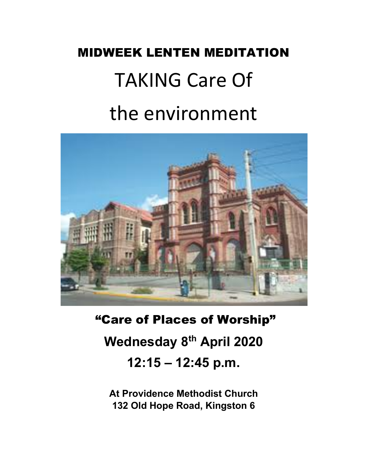# MIDWEEK LENTEN MEDITATION TAKING Care Of the environment



"Care of Places of Worship" **Wednesday 8th April 2020 12:15 – 12:45 p.m.**

**At Providence Methodist Church 132 Old Hope Road, Kingston 6**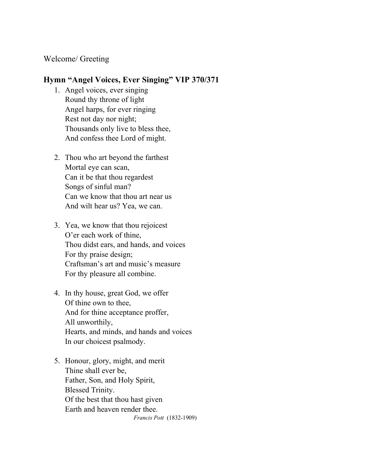### Welcome/ Greeting

#### **Hymn "Angel Voices, Ever Singing" VIP 370/371**

- 1. Angel voices, ever singing Round thy throne of light Angel harps, for ever ringing Rest not day nor night; Thousands only live to bless thee, And confess thee Lord of might.
- 2. Thou who art beyond the farthest Mortal eye can scan, Can it be that thou regardest Songs of sinful man? Can we know that thou art near us And wilt hear us? Yea, we can.
- 3. Yea, we know that thou rejoicest O'er each work of thine, Thou didst ears, and hands, and voices For thy praise design; Craftsman's art and music's measure For thy pleasure all combine.
- 4. In thy house, great God, we offer Of thine own to thee, And for thine acceptance proffer, All unworthily, Hearts, and minds, and hands and voices In our choicest psalmody.
- 5. Honour, glory, might, and merit Thine shall ever be, Father, Son, and Holy Spirit, Blessed Trinity. Of the best that thou hast given Earth and heaven render thee.  *Francis Pott* (1832-1909)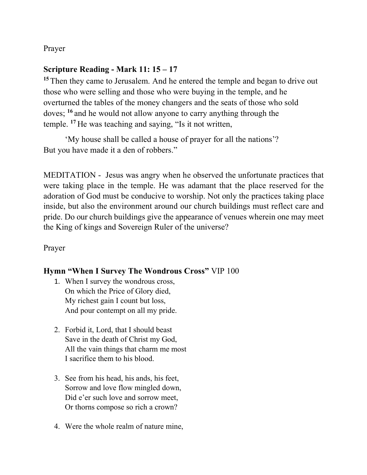Prayer

## **Scripture Reading - Mark 11: 15 – 17**

**<sup>15</sup>** Then they came to Jerusalem. And he entered the temple and began to drive out those who were selling and those who were buying in the temple, and he overturned the tables of the money changers and the seats of those who sold doves; **<sup>16</sup>** and he would not allow anyone to carry anything through the temple. **<sup>17</sup>** He was teaching and saying, "Is it not written,

'My house shall be called a house of prayer for all the nations'? But you have made it a den of robbers."

MEDITATION - Jesus was angry when he observed the unfortunate practices that were taking place in the temple. He was adamant that the place reserved for the adoration of God must be conducive to worship. Not only the practices taking place inside, but also the environment around our church buildings must reflect care and pride. Do our church buildings give the appearance of venues wherein one may meet the King of kings and Sovereign Ruler of the universe?

Prayer

## **Hymn "When I Survey The Wondrous Cross"** VIP 100

- 1. When I survey the wondrous cross, On which the Price of Glory died, My richest gain I count but loss, And pour contempt on all my pride.
- 2. Forbid it, Lord, that I should beast Save in the death of Christ my God, All the vain things that charm me most I sacrifice them to his blood.
- 3. See from his head, his ands, his feet, Sorrow and love flow mingled down, Did e'er such love and sorrow meet, Or thorns compose so rich a crown?
- 4. Were the whole realm of nature mine,